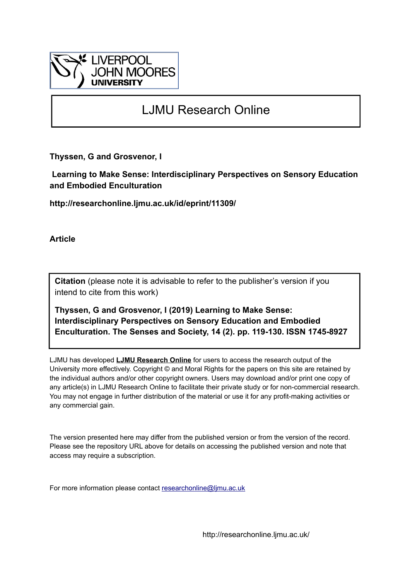

# LJMU Research Online

**Thyssen, G and Grosvenor, I**

 **Learning to Make Sense: Interdisciplinary Perspectives on Sensory Education and Embodied Enculturation**

**http://researchonline.ljmu.ac.uk/id/eprint/11309/**

**Article**

**Citation** (please note it is advisable to refer to the publisher's version if you intend to cite from this work)

**Thyssen, G and Grosvenor, I (2019) Learning to Make Sense: Interdisciplinary Perspectives on Sensory Education and Embodied Enculturation. The Senses and Society, 14 (2). pp. 119-130. ISSN 1745-8927** 

LJMU has developed **[LJMU Research Online](http://researchonline.ljmu.ac.uk/)** for users to access the research output of the University more effectively. Copyright © and Moral Rights for the papers on this site are retained by the individual authors and/or other copyright owners. Users may download and/or print one copy of any article(s) in LJMU Research Online to facilitate their private study or for non-commercial research. You may not engage in further distribution of the material or use it for any profit-making activities or any commercial gain.

The version presented here may differ from the published version or from the version of the record. Please see the repository URL above for details on accessing the published version and note that access may require a subscription.

For more information please contact [researchonline@ljmu.ac.uk](mailto:researchonline@ljmu.ac.uk)

http://researchonline.ljmu.ac.uk/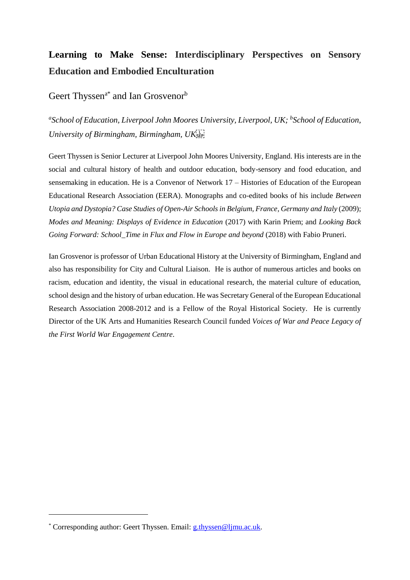# **Learning to Make Sense: Interdisciplinary Perspectives on Sensory Education and Embodied Enculturation**

# Geert Thyssen<sup>a\*</sup> and Ian Grosvenor<sup>b</sup>

*a School of Education, Liverpool John Moores University, Liverpool, UK; <sup>b</sup> School of Education, University of Birmingham, Birmingham, UK*

Geert Thyssen is Senior Lecturer at Liverpool John Moores University, England. His interests are in the social and cultural history of health and outdoor education, body-sensory and food education, and sensemaking in education. He is a Convenor of Network 17 – Histories of Education of the European Educational Research Association (EERA). Monographs and co-edited books of his include *Between Utopia and Dystopia? Case Studies of Open-Air Schools in Belgium, France, Germany and Italy* (2009); *Modes and Meaning: Displays of Evidence in Education* (2017) with Karin Priem; and *Looking Back Going Forward: School\_Time in Flux and Flow in Europe and beyond* (2018) with Fabio Pruneri.

Ian Grosvenor is professor of Urban Educational History at the University of Birmingham, England and also has responsibility for City and Cultural Liaison. He is author of numerous articles and books on racism, education and identity, the visual in educational research, the material culture of education, school design and the history of urban education. He was Secretary General of the European Educational Research Association 2008-2012 and is a Fellow of the Royal Historical Society. He is currently Director of the UK Arts and Humanities Research Council funded *Voices of War and Peace Legacy of the First World War Engagement Centre*.

**.** 

<sup>\*</sup> Corresponding author: Geert Thyssen. Email: [g.thyssen@ljmu.ac.uk.](mailto:g.thyssen@ljmu.ac.uk)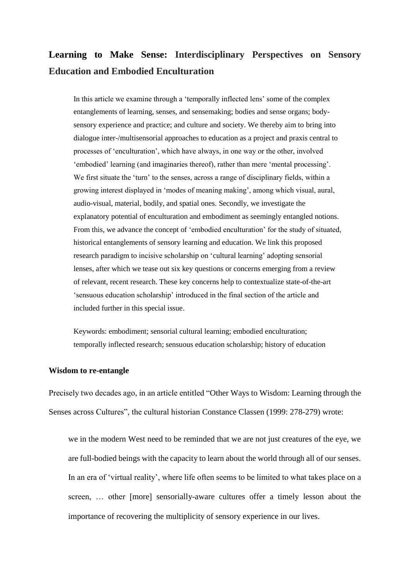# **Learning to Make Sense: Interdisciplinary Perspectives on Sensory Education and Embodied Enculturation**

In this article we examine through a 'temporally inflected lens' some of the complex entanglements of learning, senses, and sensemaking; bodies and sense organs; bodysensory experience and practice; and culture and society. We thereby aim to bring into dialogue inter-/multisensorial approaches to education as a project and praxis central to processes of 'enculturation', which have always, in one way or the other, involved 'embodied' learning (and imaginaries thereof), rather than mere 'mental processing'. We first situate the 'turn' to the senses, across a range of disciplinary fields, within a growing interest displayed in 'modes of meaning making', among which visual, aural, audio-visual, material, bodily, and spatial ones. Secondly, we investigate the explanatory potential of enculturation and embodiment as seemingly entangled notions. From this, we advance the concept of 'embodied enculturation' for the study of situated, historical entanglements of sensory learning and education. We link this proposed research paradigm to incisive scholarship on 'cultural learning' adopting sensorial lenses, after which we tease out six key questions or concerns emerging from a review of relevant, recent research. These key concerns help to contextualize state-of-the-art 'sensuous education scholarship' introduced in the final section of the article and included further in this special issue.

Keywords: embodiment; sensorial cultural learning; embodied enculturation; temporally inflected research; sensuous education scholarship; history of education

#### **Wisdom to re-entangle**

Precisely two decades ago, in an article entitled "Other Ways to Wisdom: Learning through the Senses across Cultures", the cultural historian Constance Classen (1999: 278-279) wrote:

we in the modern West need to be reminded that we are not just creatures of the eye, we are full-bodied beings with the capacity to learn about the world through all of our senses. In an era of 'virtual reality', where life often seems to be limited to what takes place on a screen, ... other [more] sensorially-aware cultures offer a timely lesson about the importance of recovering the multiplicity of sensory experience in our lives.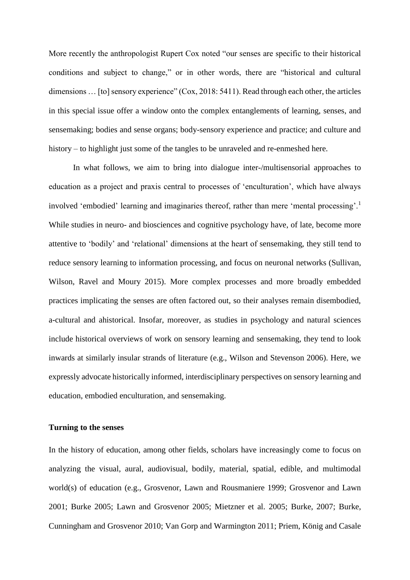More recently the anthropologist Rupert Cox noted "our senses are specific to their historical conditions and subject to change," or in other words, there are "historical and cultural dimensions ... [to] sensory experience" (Cox, 2018: 5411). Read through each other, the articles in this special issue offer a window onto the complex entanglements of learning, senses, and sensemaking; bodies and sense organs; body-sensory experience and practice; and culture and history – to highlight just some of the tangles to be unraveled and re-enmeshed here.

In what follows, we aim to bring into dialogue inter-/multisensorial approaches to education as a project and praxis central to processes of 'enculturation', which have always involved 'embodied' learning and imaginaries thereof, rather than mere 'mental processing'.<sup>1</sup> While studies in neuro- and biosciences and cognitive psychology have, of late, become more attentive to 'bodily' and 'relational' dimensions at the heart of sensemaking, they still tend to reduce sensory learning to information processing, and focus on neuronal networks (Sullivan, Wilson, Ravel and Moury 2015). More complex processes and more broadly embedded practices implicating the senses are often factored out, so their analyses remain disembodied, a-cultural and ahistorical. Insofar, moreover, as studies in psychology and natural sciences include historical overviews of work on sensory learning and sensemaking, they tend to look inwards at similarly insular strands of literature (e.g., Wilson and Stevenson 2006). Here, we expressly advocate historically informed, interdisciplinary perspectives on sensory learning and education, embodied enculturation, and sensemaking.

#### **Turning to the senses**

In the history of education, among other fields, scholars have increasingly come to focus on analyzing the visual, aural, audiovisual, bodily, material, spatial, edible, and multimodal world(s) of education (e.g., Grosvenor, Lawn and Rousmaniere 1999; Grosvenor and Lawn 2001; Burke 2005; Lawn and Grosvenor 2005; Mietzner et al. 2005; Burke, 2007; Burke, Cunningham and Grosvenor 2010; Van Gorp and Warmington 2011; Priem, König and Casale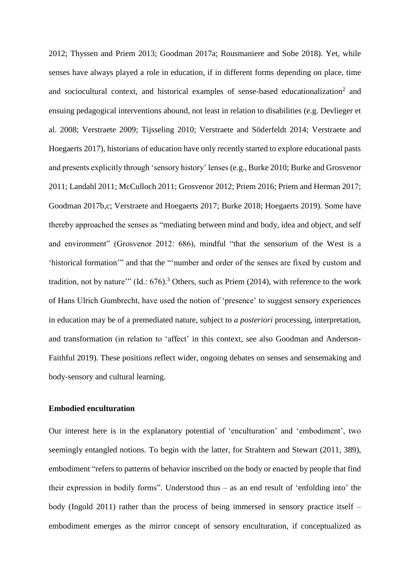2012; Thyssen and Priem 2013; Goodman 2017a; Rousmaniere and Sobe 2018). Yet, while senses have always played a role in education, if in different forms depending on place, time and sociocultural context, and historical examples of sense-based educationalization<sup>2</sup> and ensuing pedagogical interventions abound, not least in relation to disabilities (e.g. Devlieger et al. 2008; Verstraete 2009; Tijsseling 2010; Verstraete and Söderfeldt 2014; Verstraete and Hoegaerts 2017), historians of education have only recently started to explore educational pasts and presents explicitly through 'sensory history' lenses (e.g., Burke 2010; Burke and Grosvenor 2011; Landahl 2011; McCulloch 2011; Grosvenor 2012; Priem 2016; Priem and Herman 2017; Goodman 2017b,c; Verstraete and Hoegaerts 2017; Burke 2018; Hoegaerts 2019). Some have thereby approached the senses as "mediating between mind and body, idea and object, and self and environment" (Grosvenor 2012: 686), mindful "that the sensorium of the West is a 'historical formation'" and that the "'number and order of the senses are fixed by custom and tradition, not by nature"  $(Id.: 676).$ <sup>3</sup> Others, such as Priem  $(2014)$ , with reference to the work of Hans Ulrich Gumbrecht, have used the notion of 'presence' to suggest sensory experiences in education may be of a premediated nature, subject to *a posteriori* processing, interpretation, and transformation (in relation to 'affect' in this context, see also Goodman and Anderson-Faithful 2019). These positions reflect wider, ongoing debates on senses and sensemaking and body-sensory and cultural learning.

### **Embodied enculturation**

Our interest here is in the explanatory potential of 'enculturation' and 'embodiment', two seemingly entangled notions. To begin with the latter, for Strahtern and Stewart (2011, 389), embodiment "refers to patterns of behavior inscribed on the body or enacted by people that find their expression in bodily forms". Understood thus – as an end result of 'enfolding into' the body (Ingold 2011) rather than the process of being immersed in sensory practice itself – embodiment emerges as the mirror concept of sensory enculturation, if conceptualized as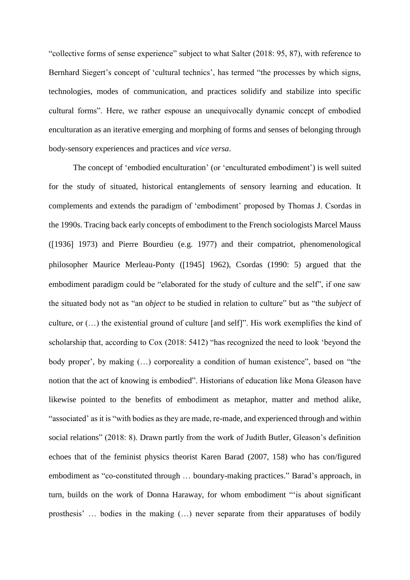"collective forms of sense experience" subject to what Salter (2018: 95, 87), with reference to Bernhard Siegert's concept of 'cultural technics', has termed "the processes by which signs, technologies, modes of communication, and practices solidify and stabilize into specific cultural forms". Here, we rather espouse an unequivocally dynamic concept of embodied enculturation as an iterative emerging and morphing of forms and senses of belonging through body-sensory experiences and practices and *vice versa*.

The concept of 'embodied enculturation' (or 'enculturated embodiment') is well suited for the study of situated, historical entanglements of sensory learning and education. It complements and extends the paradigm of 'embodiment' proposed by Thomas J. Csordas in the 1990s. Tracing back early concepts of embodiment to the French sociologists Marcel Mauss (1936 1973) and Pierre Bourdieu (e.g. 1977) and their compatriot, phenomenological philosopher Maurice Merleau-Ponty ([1945] 1962), Csordas (1990: 5) argued that the embodiment paradigm could be "elaborated for the study of culture and the self", if one saw the situated body not as "an *object* to be studied in relation to culture" but as "the *subject* of culture, or  $(...)$  the existential ground of culture [and self]". His work exemplifies the kind of scholarship that, according to Cox (2018: 5412) "has recognized the need to look 'beyond the body proper', by making (…) corporeality a condition of human existence", based on "the notion that the act of knowing is embodied". Historians of education like Mona Gleason have likewise pointed to the benefits of embodiment as metaphor, matter and method alike, "associated' as it is "with bodies as they are made, re-made, and experienced through and within social relations" (2018: 8). Drawn partly from the work of Judith Butler, Gleason's definition echoes that of the feminist physics theorist Karen Barad (2007, 158) who has con/figured embodiment as "co-constituted through … boundary-making practices." Barad's approach, in turn, builds on the work of Donna Haraway, for whom embodiment "'is about significant prosthesis' … bodies in the making (…) never separate from their apparatuses of bodily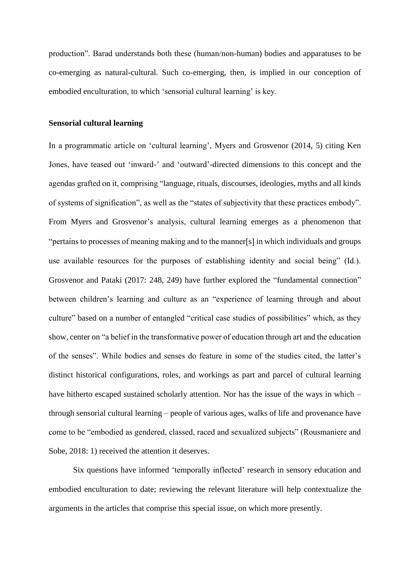production". Barad understands both these (human/non-human) bodies and apparatuses to be co-emerging as natural-cultural. Such co-emerging, then, is implied in our conception of embodied enculturation, to which 'sensorial cultural learning' is key.

#### **Sensorial cultural learning**

In a programmatic article on 'cultural learning', Myers and Grosvenor (2014, 5) citing Ken Jones, have teased out 'inward-' and 'outward'-directed dimensions to this concept and the agendas grafted on it, comprising "language, rituals, discourses, ideologies, myths and all kinds of systems of signification", as well as the "states of subjectivity that these practices embody". From Myers and Grosvenor's analysis, cultural learning emerges as a phenomenon that "pertains to processes of meaning making and to the manner[s] in which individuals and groups use available resources for the purposes of establishing identity and social being" (Id.). Grosvenor and Pataki (2017: 248, 249) have further explored the "fundamental connection" between children's learning and culture as an "experience of learning through and about culture" based on a number of entangled "critical case studies of possibilities" which, as they show, center on "a belief in the transformative power of education through art and the education of the senses". While bodies and senses do feature in some of the studies cited, the latter's distinct historical configurations, roles, and workings as part and parcel of cultural learning have hitherto escaped sustained scholarly attention. Nor has the issue of the ways in which – through sensorial cultural learning – people of various ages, walks of life and provenance have come to be "embodied as gendered, classed, raced and sexualized subjects" (Rousmaniere and Sobe, 2018: 1) received the attention it deserves.

Six questions have informed 'temporally inflected' research in sensory education and embodied enculturation to date; reviewing the relevant literature will help contextualize the arguments in the articles that comprise this special issue, on which more presently.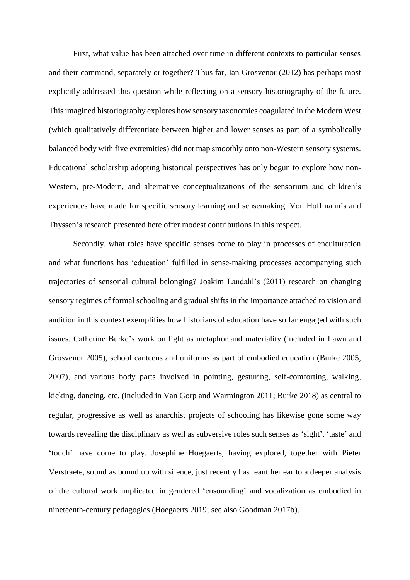First, what value has been attached over time in different contexts to particular senses and their command, separately or together? Thus far, Ian Grosvenor (2012) has perhaps most explicitly addressed this question while reflecting on a sensory historiography of the future. Thisimagined historiography explores how sensory taxonomies coagulated in the Modern West (which qualitatively differentiate between higher and lower senses as part of a symbolically balanced body with five extremities) did not map smoothly onto non-Western sensory systems. Educational scholarship adopting historical perspectives has only begun to explore how non-Western, pre-Modern, and alternative conceptualizations of the sensorium and children's experiences have made for specific sensory learning and sensemaking. Von Hoffmann's and Thyssen's research presented here offer modest contributions in this respect.

Secondly, what roles have specific senses come to play in processes of enculturation and what functions has 'education' fulfilled in sense-making processes accompanying such trajectories of sensorial cultural belonging? Joakim Landahl's (2011) research on changing sensory regimes of formal schooling and gradual shifts in the importance attached to vision and audition in this context exemplifies how historians of education have so far engaged with such issues. Catherine Burke's work on light as metaphor and materiality (included in Lawn and Grosvenor 2005), school canteens and uniforms as part of embodied education (Burke 2005, 2007), and various body parts involved in pointing, gesturing, self-comforting, walking, kicking, dancing, etc. (included in Van Gorp and Warmington 2011; Burke 2018) as central to regular, progressive as well as anarchist projects of schooling has likewise gone some way towards revealing the disciplinary as well as subversive roles such senses as 'sight', 'taste' and 'touch' have come to play. Josephine Hoegaerts, having explored, together with Pieter Verstraete, sound as bound up with silence, just recently has leant her ear to a deeper analysis of the cultural work implicated in gendered 'ensounding' and vocalization as embodied in nineteenth-century pedagogies (Hoegaerts 2019; see also Goodman 2017b).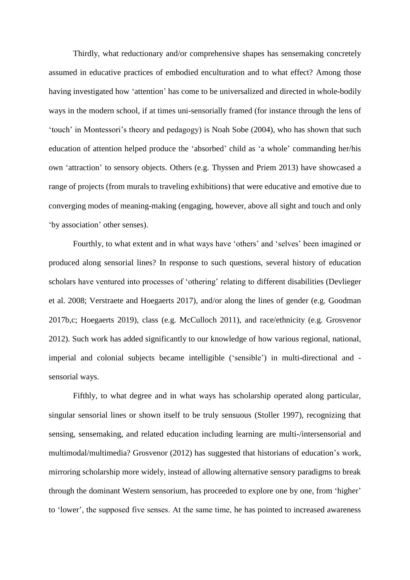Thirdly, what reductionary and/or comprehensive shapes has sensemaking concretely assumed in educative practices of embodied enculturation and to what effect? Among those having investigated how 'attention' has come to be universalized and directed in whole-bodily ways in the modern school, if at times uni-sensorially framed (for instance through the lens of 'touch' in Montessori's theory and pedagogy) is Noah Sobe (2004), who has shown that such education of attention helped produce the 'absorbed' child as 'a whole' commanding her/his own 'attraction' to sensory objects. Others (e.g. Thyssen and Priem 2013) have showcased a range of projects (from murals to traveling exhibitions) that were educative and emotive due to converging modes of meaning-making (engaging, however, above all sight and touch and only 'by association' other senses).

Fourthly, to what extent and in what ways have 'others' and 'selves' been imagined or produced along sensorial lines? In response to such questions, several history of education scholars have ventured into processes of 'othering' relating to different disabilities (Devlieger et al. 2008; Verstraete and Hoegaerts 2017), and/or along the lines of gender (e.g. Goodman 2017b,c; Hoegaerts 2019), class (e.g. McCulloch 2011), and race/ethnicity (e.g. Grosvenor 2012). Such work has added significantly to our knowledge of how various regional, national, imperial and colonial subjects became intelligible ('sensible') in multi-directional and sensorial ways.

Fifthly, to what degree and in what ways has scholarship operated along particular, singular sensorial lines or shown itself to be truly sensuous (Stoller 1997), recognizing that sensing, sensemaking, and related education including learning are multi-/intersensorial and multimodal/multimedia? Grosvenor (2012) has suggested that historians of education's work, mirroring scholarship more widely, instead of allowing alternative sensory paradigms to break through the dominant Western sensorium, has proceeded to explore one by one, from 'higher' to 'lower', the supposed five senses. At the same time, he has pointed to increased awareness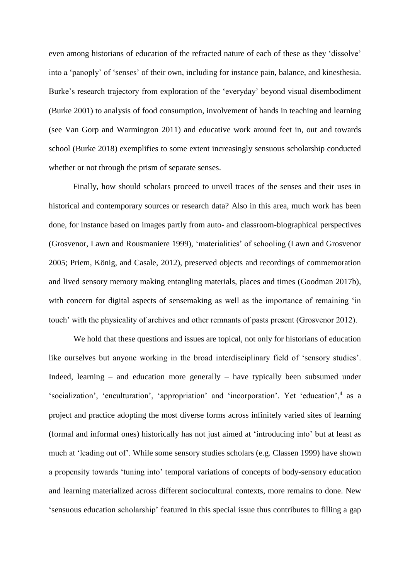even among historians of education of the refracted nature of each of these as they 'dissolve' into a 'panoply' of 'senses' of their own, including for instance pain, balance, and kinesthesia. Burke's research trajectory from exploration of the 'everyday' beyond visual disembodiment (Burke 2001) to analysis of food consumption, involvement of hands in teaching and learning (see Van Gorp and Warmington 2011) and educative work around feet in, out and towards school (Burke 2018) exemplifies to some extent increasingly sensuous scholarship conducted whether or not through the prism of separate senses.

Finally, how should scholars proceed to unveil traces of the senses and their uses in historical and contemporary sources or research data? Also in this area, much work has been done, for instance based on images partly from auto- and classroom-biographical perspectives (Grosvenor, Lawn and Rousmaniere 1999), 'materialities' of schooling (Lawn and Grosvenor 2005; Priem, König, and Casale, 2012), preserved objects and recordings of commemoration and lived sensory memory making entangling materials, places and times (Goodman 2017b), with concern for digital aspects of sensemaking as well as the importance of remaining 'in touch' with the physicality of archives and other remnants of pasts present (Grosvenor 2012).

We hold that these questions and issues are topical, not only for historians of education like ourselves but anyone working in the broad interdisciplinary field of 'sensory studies'. Indeed, learning – and education more generally – have typically been subsumed under 'socialization', 'enculturation', 'appropriation' and 'incorporation'. Yet 'education',<sup>4</sup> as a project and practice adopting the most diverse forms across infinitely varied sites of learning (formal and informal ones) historically has not just aimed at 'introducing into' but at least as much at 'leading out of'. While some sensory studies scholars (e.g. Classen 1999) have shown a propensity towards 'tuning into' temporal variations of concepts of body-sensory education and learning materialized across different sociocultural contexts, more remains to done. New 'sensuous education scholarship' featured in this special issue thus contributes to filling a gap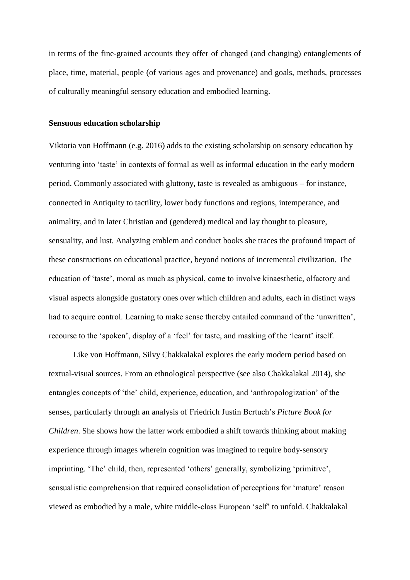in terms of the fine-grained accounts they offer of changed (and changing) entanglements of place, time, material, people (of various ages and provenance) and goals, methods, processes of culturally meaningful sensory education and embodied learning.

#### **Sensuous education scholarship**

Viktoria von Hoffmann (e.g. 2016) adds to the existing scholarship on sensory education by venturing into 'taste' in contexts of formal as well as informal education in the early modern period. Commonly associated with gluttony, taste is revealed as ambiguous – for instance, connected in Antiquity to tactility, lower body functions and regions, intemperance, and animality, and in later Christian and (gendered) medical and lay thought to pleasure, sensuality, and lust. Analyzing emblem and conduct books she traces the profound impact of these constructions on educational practice, beyond notions of incremental civilization. The education of 'taste', moral as much as physical, came to involve kinaesthetic, olfactory and visual aspects alongside gustatory ones over which children and adults, each in distinct ways had to acquire control. Learning to make sense thereby entailed command of the 'unwritten', recourse to the 'spoken', display of a 'feel' for taste, and masking of the 'learnt' itself.

Like von Hoffmann, Silvy Chakkalakal explores the early modern period based on textual-visual sources. From an ethnological perspective (see also Chakkalakal 2014), she entangles concepts of 'the' child, experience, education, and 'anthropologization' of the senses, particularly through an analysis of Friedrich Justin Bertuch's *Picture Book for Children*. She shows how the latter work embodied a shift towards thinking about making experience through images wherein cognition was imagined to require body-sensory imprinting. 'The' child, then, represented 'others' generally, symbolizing 'primitive', sensualistic comprehension that required consolidation of perceptions for 'mature' reason viewed as embodied by a male, white middle-class European 'self' to unfold. Chakkalakal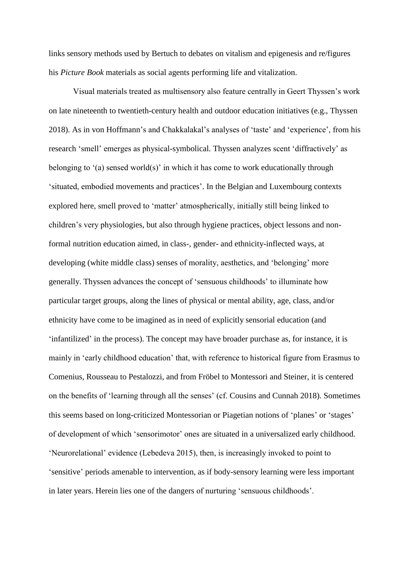links sensory methods used by Bertuch to debates on vitalism and epigenesis and re/figures his *Picture Book* materials as social agents performing life and vitalization.

Visual materials treated as multisensory also feature centrally in Geert Thyssen's work on late nineteenth to twentieth-century health and outdoor education initiatives (e.g., Thyssen 2018). As in von Hoffmann's and Chakkalakal's analyses of 'taste' and 'experience', from his research 'smell' emerges as physical-symbolical. Thyssen analyzes scent 'diffractively' as belonging to '(a) sensed world(s)' in which it has come to work educationally through 'situated, embodied movements and practices'. In the Belgian and Luxembourg contexts explored here, smell proved to 'matter' atmospherically, initially still being linked to children's very physiologies, but also through hygiene practices, object lessons and nonformal nutrition education aimed, in class-, gender- and ethnicity-inflected ways, at developing (white middle class) senses of morality, aesthetics, and 'belonging' more generally. Thyssen advances the concept of 'sensuous childhoods' to illuminate how particular target groups, along the lines of physical or mental ability, age, class, and/or ethnicity have come to be imagined as in need of explicitly sensorial education (and 'infantilized' in the process). The concept may have broader purchase as, for instance, it is mainly in 'early childhood education' that, with reference to historical figure from Erasmus to Comenius, Rousseau to Pestalozzi, and from Fröbel to Montessori and Steiner, it is centered on the benefits of 'learning through all the senses' (cf. Cousins and Cunnah 2018). Sometimes this seems based on long-criticized Montessorian or Piagetian notions of 'planes' or 'stages' of development of which 'sensorimotor' ones are situated in a universalized early childhood. 'Neurorelational' evidence (Lebedeva 2015), then, is increasingly invoked to point to 'sensitive' periods amenable to intervention, as if body-sensory learning were less important in later years. Herein lies one of the dangers of nurturing 'sensuous childhoods'.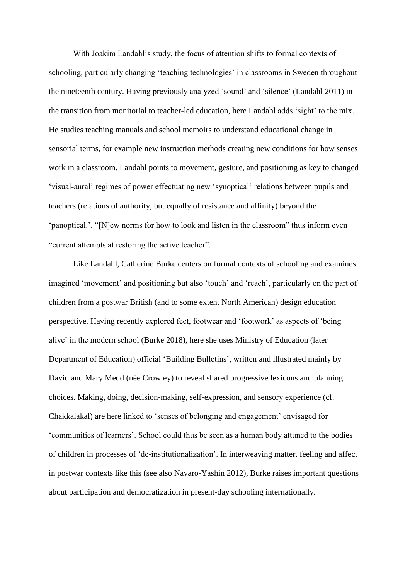With Joakim Landahl's study, the focus of attention shifts to formal contexts of schooling, particularly changing 'teaching technologies' in classrooms in Sweden throughout the nineteenth century. Having previously analyzed 'sound' and 'silence' (Landahl 2011) in the transition from monitorial to teacher-led education, here Landahl adds 'sight' to the mix. He studies teaching manuals and school memoirs to understand educational change in sensorial terms, for example new instruction methods creating new conditions for how senses work in a classroom. Landahl points to movement, gesture, and positioning as key to changed 'visual-aural' regimes of power effectuating new 'synoptical' relations between pupils and teachers (relations of authority, but equally of resistance and affinity) beyond the 'panoptical.'. "[N]ew norms for how to look and listen in the classroom" thus inform even "current attempts at restoring the active teacher".

Like Landahl, Catherine Burke centers on formal contexts of schooling and examines imagined 'movement' and positioning but also 'touch' and 'reach', particularly on the part of children from a postwar British (and to some extent North American) design education perspective. Having recently explored feet, footwear and 'footwork' as aspects of 'being alive' in the modern school (Burke 2018), here she uses Ministry of Education (later Department of Education) official 'Building Bulletins', written and illustrated mainly by David and Mary Medd (née Crowley) to reveal shared progressive lexicons and planning choices. Making, doing, decision-making, self-expression, and sensory experience (cf. Chakkalakal) are here linked to 'senses of belonging and engagement' envisaged for 'communities of learners'. School could thus be seen as a human body attuned to the bodies of children in processes of 'de-institutionalization'. In interweaving matter, feeling and affect in postwar contexts like this (see also Navaro-Yashin 2012), Burke raises important questions about participation and democratization in present-day schooling internationally.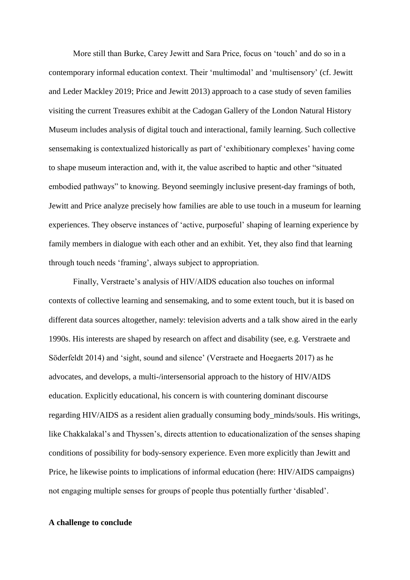More still than Burke, Carey Jewitt and Sara Price, focus on 'touch' and do so in a contemporary informal education context. Their 'multimodal' and 'multisensory' (cf. Jewitt and Leder Mackley 2019; Price and Jewitt 2013) approach to a case study of seven families visiting the current Treasures exhibit at the Cadogan Gallery of the London Natural History Museum includes analysis of digital touch and interactional, family learning. Such collective sensemaking is contextualized historically as part of 'exhibitionary complexes' having come to shape museum interaction and, with it, the value ascribed to haptic and other "situated embodied pathways" to knowing. Beyond seemingly inclusive present-day framings of both, Jewitt and Price analyze precisely how families are able to use touch in a museum for learning experiences. They observe instances of 'active, purposeful' shaping of learning experience by family members in dialogue with each other and an exhibit. Yet, they also find that learning through touch needs 'framing', always subject to appropriation.

Finally, Verstraete's analysis of HIV/AIDS education also touches on informal contexts of collective learning and sensemaking, and to some extent touch, but it is based on different data sources altogether, namely: television adverts and a talk show aired in the early 1990s. His interests are shaped by research on affect and disability (see, e.g. Verstraete and Söderfeldt 2014) and 'sight, sound and silence' (Verstraete and Hoegaerts 2017) as he advocates, and develops, a multi-/intersensorial approach to the history of HIV/AIDS education. Explicitly educational, his concern is with countering dominant discourse regarding HIV/AIDS as a resident alien gradually consuming body\_minds/souls. His writings, like Chakkalakal's and Thyssen's, directs attention to educationalization of the senses shaping conditions of possibility for body-sensory experience. Even more explicitly than Jewitt and Price, he likewise points to implications of informal education (here: HIV/AIDS campaigns) not engaging multiple senses for groups of people thus potentially further 'disabled'.

### **A challenge to conclude**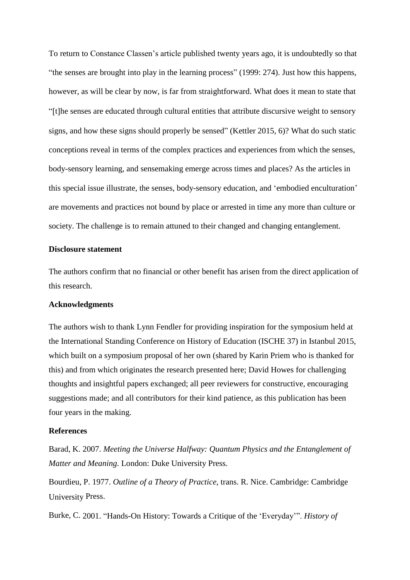To return to Constance Classen's article published twenty years ago, it is undoubtedly so that "the senses are brought into play in the learning process" (1999: 274). Just how this happens, however, as will be clear by now, is far from straightforward. What does it mean to state that "the senses are educated through cultural entities that attribute discursive weight to sensory signs, and how these signs should properly be sensed" (Kettler 2015, 6)? What do such static conceptions reveal in terms of the complex practices and experiences from which the senses, body-sensory learning, and sensemaking emerge across times and places? As the articles in this special issue illustrate, the senses, body-sensory education, and 'embodied enculturation' are movements and practices not bound by place or arrested in time any more than culture or society. The challenge is to remain attuned to their changed and changing entanglement.

#### **Disclosure statement**

The authors confirm that no financial or other benefit has arisen from the direct application of this research.

# **Acknowledgments**

The authors wish to thank Lynn Fendler for providing inspiration for the symposium held at the International Standing Conference on History of Education (ISCHE 37) in Istanbul 2015, which built on a symposium proposal of her own (shared by Karin Priem who is thanked for this) and from which originates the research presented here; David Howes for challenging thoughts and insightful papers exchanged; all peer reviewers for constructive, encouraging suggestions made; and all contributors for their kind patience, as this publication has been four years in the making.

### **References**

Barad, K. 2007. *Meeting the Universe Halfway: Quantum Physics and the Entanglement of Matter and Meaning*. London: Duke University Press.

Bourdieu, P. 1977. *Outline of a Theory of Practice*, trans. R. Nice. Cambridge: Cambridge University Press.

Burke, C. 2001. "Hands-On History: Towards a Critique of the 'Everyday'". *History of*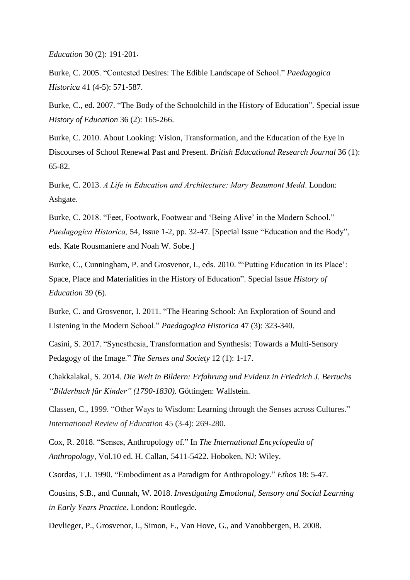*Education* 30 (2): 191-201.

Burke, C. 2005. "Contested Desires: The Edible Landscape of School." *Paedagogica Historica* 41 (4-5): 571-587.

Burke, C., ed. 2007. "The Body of the Schoolchild in the History of Education". Special issue *History of Education* 36 (2): 165-266.

Burke, C. 2010. About Looking: Vision, Transformation, and the Education of the Eye in Discourses of School Renewal Past and Present. *British Educational Research Journal* 36 (1): 65-82.

Burke, C. 2013. *A Life in Education and Architecture: Mary Beaumont Medd*. London: Ashgate.

Burke, C. 2018. "Feet, Footwork, Footwear and 'Being Alive' in the Modern School." *Paedagogica Historica,* 54, Issue 1-2, pp. 32-47. [Special Issue "Education and the Body", eds. Kate Rousmaniere and Noah W. Sobe.]

Burke, C., Cunningham, P. and Grosvenor, I., eds. 2010. "'Putting Education in its Place': Space, Place and Materialities in the History of Education". Special Issue *History of Education* 39 (6).

Burke, C. and Grosvenor, I. 2011. "The Hearing School: An Exploration of Sound and Listening in the Modern School." *Paedagogica Historica* 47 (3): 323-340.

Casini, S. 2017. "Synesthesia, Transformation and Synthesis: Towards a Multi-Sensory Pedagogy of the Image." *The Senses and Society* 12 (1): 1-17.

Chakkalakal, S. 2014. *Die Welt in Bildern: Erfahrung und Evidenz in Friedrich J. Bertuchs "Bilderbuch für Kinder" (1790-1830).* Göttingen: Wallstein.

Classen, C., 1999. "Other Ways to Wisdom: Learning through the Senses across Cultures." *International Review of Education* 45 (3-4): 269-280.

Cox, R. 2018. "Senses, Anthropology of." In *The International Encyclopedia of Anthropology*, Vol.10 ed. H. Callan, 5411-5422. Hoboken, NJ: Wiley.

Csordas, T.J. 1990. "Embodiment as a Paradigm for Anthropology." *Ethos* 18: 5-47.

Cousins, S.B., and Cunnah, W. 2018. *Investigating Emotional, Sensory and Social Learning in Early Years Practice*. London: Routlegde.

Devlieger, P., Grosvenor, I., Simon, F., Van Hove, G., and [Vanobbergen,](https://biblio.ugent.be/person/801001014315) B. 2008.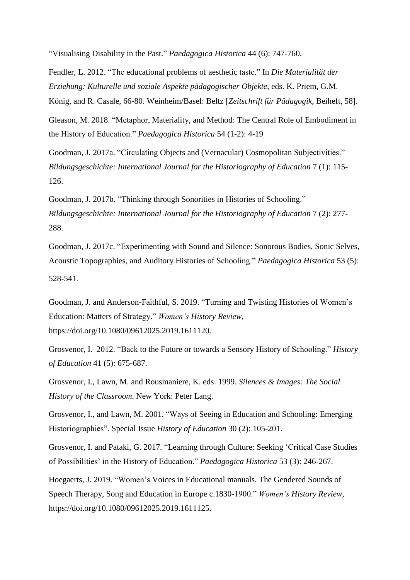"Visualising Disability in the Past." *Paedagogica Historica* 44 (6): 747-760.

Fendler, L. 2012. "The educational problems of aesthetic taste." In *Die Materialität der Erziehung: Kulturelle und soziale Aspekte pädagogischer Objekte*, eds. K. Priem, G.M. König, and R. Casale, 66-80. Weinheim/Basel: Beltz *Zeitschrift für Pädagogik*, Beiheft, 58.

Gleason, M. 2018. "Metaphor, Materiality, and Method: The Central Role of Embodiment in the History of Education." *Paedagogica Historica* 54 (1-2): 4-19

Goodman, J. 2017a. "Circulating Objects and (Vernacular) Cosmopolitan Subjectivities." *Bildungsgeschichte: International Journal for the Historiography of Education* 7 (1): 115- 126.

Goodman, J. 2017b. "Thinking through Sonorities in Histories of Schooling." *Bildungsgeschichte: International Journal for the Historiography of Education* 7 (2): 277- 288.

Goodman, J. 2017c. "Experimenting with Sound and Silence: Sonorous Bodies, Sonic Selves, Acoustic Topographies, and Auditory Histories of Schooling." *Paedagogica Historica* 53 (5): 528-541.

Goodman, J. and Anderson-Faithful, S. 2019. "Turning and Twisting Histories of Women's Education: Matters of Strategy." *Women's History Review*, [https://doi.org/10.1080/09612025.2019.1611120.](https://doi.org/10.1080/09612025.2019.1611120)

Grosvenor, I. 2012. "Back to the Future or towards a Sensory History of Schooling." *History of Education* 41 (5): 675-687.

Grosvenor, I., Lawn, M. and Rousmaniere, K. eds. 1999. *Silences & Images: The Social History of the Classroom*. New York: Peter Lang.

Grosvenor, I., and Lawn, M. 2001. "Ways of Seeing in Education and Schooling: Emerging Historiographies". Special Issue *History of Education* 30 (2): 105-201.

Grosvenor, I. and Pataki, G. 2017. "Learning through Culture: Seeking 'Critical Case Studies of Possibilities' in the History of Education." *Paedagogica Historica* 53 (3): 246-267.

Hoegaerts, J. 2019. "Women's Voices in Educational manuals. The Gendered Sounds of Speech Therapy, Song and Education in Europe c.1830-1900." *Women's History Review*, [https://doi.org/10.1080/09612025.2019.1611125.](https://doi.org/10.1080/09612025.2019.1611125)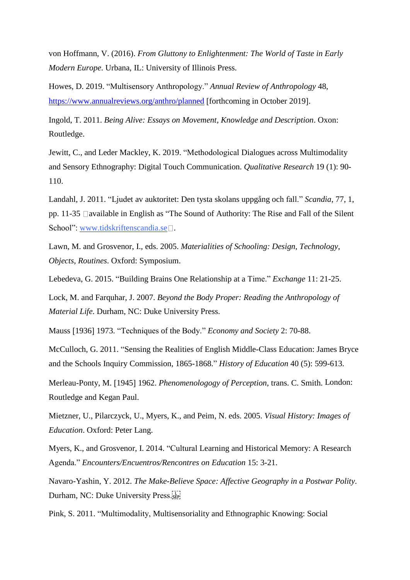von Hoffmann, V. (2016). *From Gluttony to Enlightenment: The World of Taste in Early Modern Europe*. Urbana, IL: University of Illinois Press.

Howes, D. 2019. "Multisensory Anthropology." *Annual Review of Anthropology* 48, <https://www.annualreviews.org/anthro/planned> [forthcoming in October 2019].

Ingold, T. 2011. *Being Alive: Essays on Movement, Knowledge and Description*. Oxon: Routledge.

Jewitt, C., and Leder Mackley, K. 2019. "Methodological Dialogues across Multimodality and Sensory Ethnography: Digital Touch Communication. *Qualitative Research* 19 (1): 90- 110.

Landahl, J. 2011. "Ljudet av auktoritet: Den tysta skolans uppgång och fall." *Scandia*, 77, 1, pp. 11-35  $\Box$ available in English as "The Sound of Authority: The Rise and Fall of the Silent School": [www.tidskriftenscandia.se](http://www.tidskriftenscandia.se/) $\square$ .

Lawn, M. and Grosvenor, I., eds. 2005. *Materialities of Schooling: Design, Technology, Objects, Routines*. Oxford: Symposium.

Lebedeva, G. 2015. "Building Brains One Relationship at a Time." *Exchange* 11: 21-25.

Lock, M. and Farquhar, J. 2007. *Beyond the Body Proper: Reading the Anthropology of Material Life*. Durham, NC: Duke University Press.

Mauss 1936 1973. "Techniques of the Body." *Economy and Society* 2: 70-88.

McCulloch, G. 2011. "Sensing the Realities of English Middle-Class Education: James Bryce and the Schools Inquiry Commission, 1865-1868." *History of Education* 40 (5): 599-613.

Merleau-Ponty, M. 1945 1962. *Phenomenologogy of Perception*, trans. C. Smith. London: Routledge and Kegan Paul.

Mietzner, U., Pilarczyck, U., Myers, K., and Peim, N. eds. 2005. *Visual History: Images of Education*. Oxford: Peter Lang.

Myers, K., and Grosvenor, I. 2014. "Cultural Learning and Historical Memory: A Research Agenda." *Encounters/Encuentros/Rencontres on Education* 15: 3-21.

Navaro-Yashin, Y. 2012. *The Make-Believe Space: Affective Geography in a Postwar Polity*. Durham, NC: Duke University Press.

Pink, S. 2011. "Multimodality, Multisensoriality and Ethnographic Knowing: Social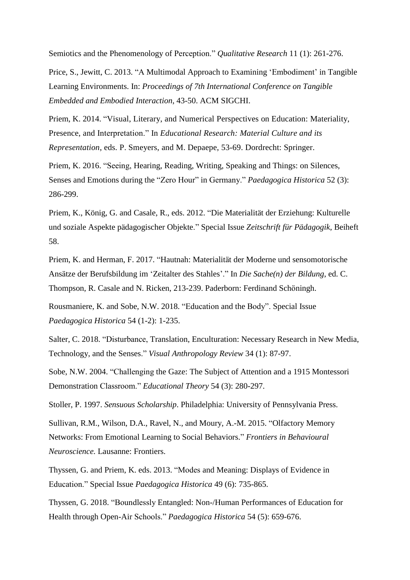Semiotics and the Phenomenology of Perception." *Qualitative Research* 11 (1): 261-276.

Price, S., Jewitt, C. 2013. "A Multimodal Approach to Examining 'Embodiment' in Tangible Learning Environments. In: *Proceedings of 7th International Conference on Tangible Embedded and Embodied Interaction*, 43-50. ACM SIGCHI.

Priem, K. 2014. "Visual, Literary, and Numerical Perspectives on Education: Materiality, Presence, and Interpretation." In *Educational Research: Material Culture and its Representation*, eds. P. Smeyers, and M. Depaepe, 53-69. Dordrecht: Springer.

Priem, K. 2016. "Seeing, Hearing, Reading, Writing, Speaking and Things: on Silences, Senses and Emotions during the "Zero Hour" in Germany." *Paedagogica Historica* 52 (3): 286-299.

Priem, K., König, G. and Casale, R., eds. 2012. "Die Materialität der Erziehung: Kulturelle und soziale Aspekte pädagogischer Objekte." Special Issue *Zeitschrift für Pädagogik*, Beiheft 58.

Priem, K. and Herman, F. 2017. "Hautnah: Materialität der Moderne und sensomotorische Ansätze der Berufsbildung im 'Zeitalter des Stahles'." In *Die Sache(n) der Bildung*, ed. C. Thompson, R. Casale and N. Ricken, 213-239. Paderborn: Ferdinand Schöningh.

Rousmaniere, K. and Sobe, N.W. 2018. "Education and the Body". Special Issue *Paedagogica Historica* 54 (1-2): 1-235.

Salter, C. 2018. "Disturbance, Translation, Enculturation: Necessary Research in New Media, Technology, and the Senses." *Visual Anthropology Review* 34 (1): 87-97.

Sobe, N.W. 2004. "Challenging the Gaze: The Subject of Attention and a 1915 Montessori Demonstration Classroom." *Educational Theory* 54 (3): 280-297.

Stoller, P. 1997. *Sensuous Scholarship*. Philadelphia: University of Pennsylvania Press.

Sullivan, R.M., Wilson, D.A., Ravel, N., and Moury, A.-M. 2015. "Olfactory Memory Networks: From Emotional Learning to Social Behaviors." *Frontiers in Behavioural Neuroscience.* Lausanne: Frontiers.

Thyssen, G. and Priem, K. eds. 2013. "Modes and Meaning: Displays of Evidence in Education." Special Issue *Paedagogica Historica* 49 (6): 735-865.

Thyssen, G. 2018. "Boundlessly Entangled: Non-/Human Performances of Education for Health through Open-Air Schools." *Paedagogica Historica* 54 (5): 659-676.